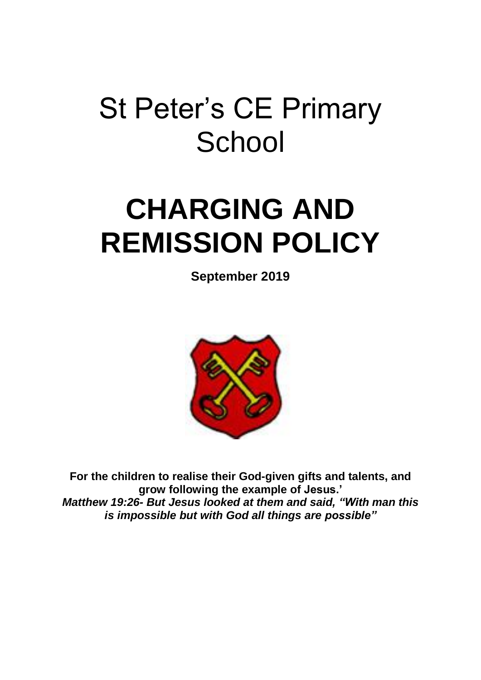# St Peter's CE Primary **School**

# **CHARGING AND REMISSION POLICY**

**September 2019**



**For the children to realise their God-given gifts and talents, and grow following the example of Jesus.'** *Matthew 19:26- But Jesus looked at them and said, "With man this is impossible but with God all things are possible"*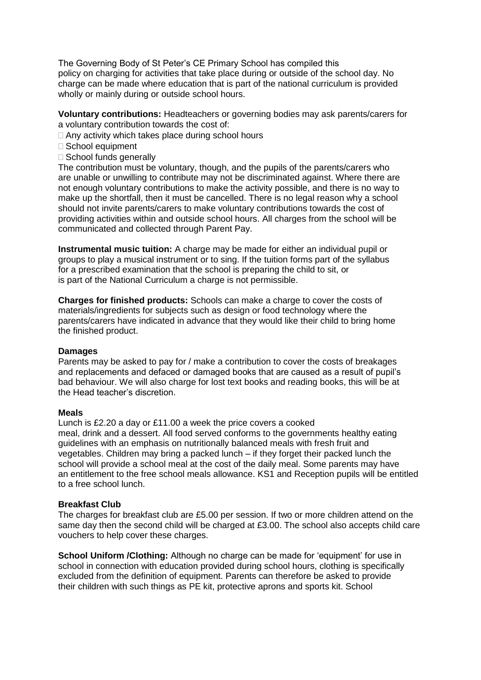The Governing Body of St Peter's CE Primary School has compiled this policy on charging for activities that take place during or outside of the school day. No charge can be made where education that is part of the national curriculum is provided wholly or mainly during or outside school hours.

**Voluntary contributions:** Headteachers or governing bodies may ask parents/carers for a voluntary contribution towards the cost of:

 $\Box$  Any activity which takes place during school hours

- □ School equipment
- $\Box$  School funds generally

The contribution must be voluntary, though, and the pupils of the parents/carers who are unable or unwilling to contribute may not be discriminated against. Where there are not enough voluntary contributions to make the activity possible, and there is no way to make up the shortfall, then it must be cancelled. There is no legal reason why a school should not invite parents/carers to make voluntary contributions towards the cost of providing activities within and outside school hours. All charges from the school will be communicated and collected through Parent Pay.

**Instrumental music tuition:** A charge may be made for either an individual pupil or groups to play a musical instrument or to sing. If the tuition forms part of the syllabus for a prescribed examination that the school is preparing the child to sit, or is part of the National Curriculum a charge is not permissible.

**Charges for finished products:** Schools can make a charge to cover the costs of materials/ingredients for subjects such as design or food technology where the parents/carers have indicated in advance that they would like their child to bring home the finished product.

#### **Damages**

Parents may be asked to pay for / make a contribution to cover the costs of breakages and replacements and defaced or damaged books that are caused as a result of pupil's bad behaviour. We will also charge for lost text books and reading books, this will be at the Head teacher's discretion.

#### **Meals**

Lunch is £2.20 a day or £11.00 a week the price covers a cooked meal, drink and a dessert. All food served conforms to the governments healthy eating guidelines with an emphasis on nutritionally balanced meals with fresh fruit and vegetables. Children may bring a packed lunch – if they forget their packed lunch the school will provide a school meal at the cost of the daily meal. Some parents may have an entitlement to the free school meals allowance. KS1 and Reception pupils will be entitled to a free school lunch.

#### **Breakfast Club**

The charges for breakfast club are £5.00 per session. If two or more children attend on the same day then the second child will be charged at £3.00. The school also accepts child care vouchers to help cover these charges.

**School Uniform /Clothing:** Although no charge can be made for 'equipment' for use in school in connection with education provided during school hours, clothing is specifically excluded from the definition of equipment. Parents can therefore be asked to provide their children with such things as PE kit, protective aprons and sports kit. School